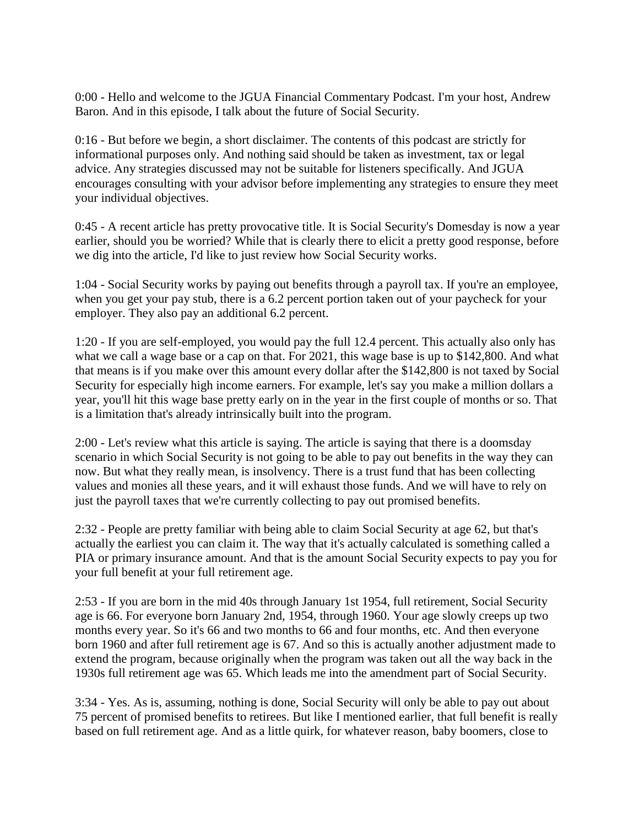0:00 - Hello and welcome to the JGUA Financial Commentary Podcast. I'm your host, Andrew Baron. And in this episode, I talk about the future of Social Security.

0:16 - But before we begin, a short disclaimer. The contents of this podcast are strictly for informational purposes only. And nothing said should be taken as investment, tax or legal advice. Any strategies discussed may not be suitable for listeners specifically. And JGUA encourages consulting with your advisor before implementing any strategies to ensure they meet your individual objectives.

0:45 - A recent article has pretty provocative title. It is Social Security's Domesday is now a year earlier, should you be worried? While that is clearly there to elicit a pretty good response, before we dig into the article, I'd like to just review how Social Security works.

1:04 - Social Security works by paying out benefits through a payroll tax. If you're an employee, when you get your pay stub, there is a 6.2 percent portion taken out of your paycheck for your employer. They also pay an additional 6.2 percent.

1:20 - If you are self-employed, you would pay the full 12.4 percent. This actually also only has what we call a wage base or a cap on that. For 2021, this wage base is up to \$142,800. And what that means is if you make over this amount every dollar after the \$142,800 is not taxed by Social Security for especially high income earners. For example, let's say you make a million dollars a year, you'll hit this wage base pretty early on in the year in the first couple of months or so. That is a limitation that's already intrinsically built into the program.

2:00 - Let's review what this article is saying. The article is saying that there is a doomsday scenario in which Social Security is not going to be able to pay out benefits in the way they can now. But what they really mean, is insolvency. There is a trust fund that has been collecting values and monies all these years, and it will exhaust those funds. And we will have to rely on just the payroll taxes that we're currently collecting to pay out promised benefits.

2:32 - People are pretty familiar with being able to claim Social Security at age 62, but that's actually the earliest you can claim it. The way that it's actually calculated is something called a PIA or primary insurance amount. And that is the amount Social Security expects to pay you for your full benefit at your full retirement age.

2:53 - If you are born in the mid 40s through January 1st 1954, full retirement, Social Security age is 66. For everyone born January 2nd, 1954, through 1960. Your age slowly creeps up two months every year. So it's 66 and two months to 66 and four months, etc. And then everyone born 1960 and after full retirement age is 67. And so this is actually another adjustment made to extend the program, because originally when the program was taken out all the way back in the 1930s full retirement age was 65. Which leads me into the amendment part of Social Security.

3:34 - Yes. As is, assuming, nothing is done, Social Security will only be able to pay out about 75 percent of promised benefits to retirees. But like I mentioned earlier, that full benefit is really based on full retirement age. And as a little quirk, for whatever reason, baby boomers, close to